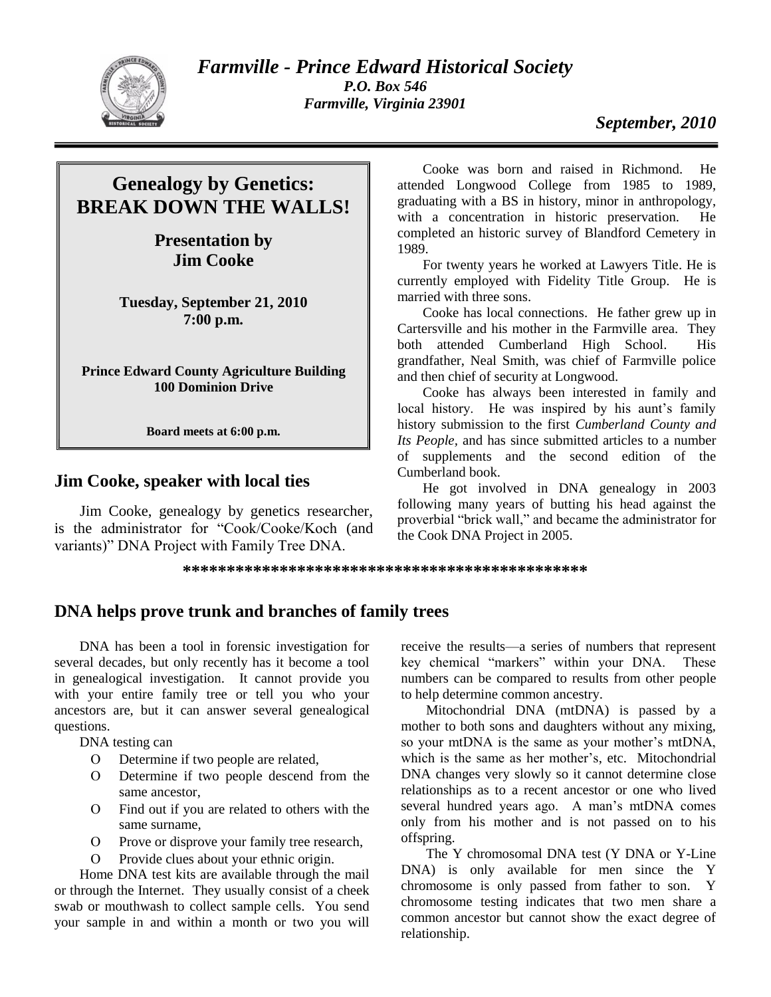

*Farmville - Prince Edward Historical Society P.O. Box 546 Farmville, Virginia 23901*

# **Genealogy by Genetics: BREAK DOWN THE WALLS!**

**Presentation by Jim Cooke**

**Tuesday, September 21, 2010 7:00 p.m.**

**Prince Edward County Agriculture Building 100 Dominion Drive**

**Board meets at 6:00 p.m.**

### **Jim Cooke, speaker with local ties**

Jim Cooke, genealogy by genetics researcher, is the administrator for "Cook/Cooke/Koch (and variants)" DNA Project with Family Tree DNA.

Cooke was born and raised in Richmond. He attended Longwood College from 1985 to 1989, graduating with a BS in history, minor in anthropology, with a concentration in historic preservation. He completed an historic survey of Blandford Cemetery in 1989.

For twenty years he worked at Lawyers Title. He is currently employed with Fidelity Title Group. He is married with three sons.

Cooke has local connections. He father grew up in Cartersville and his mother in the Farmville area. They both attended Cumberland High School. His grandfather, Neal Smith, was chief of Farmville police and then chief of security at Longwood.

Cooke has always been interested in family and local history. He was inspired by his aunt's family history submission to the first *Cumberland County and Its People,* and has since submitted articles to a number of supplements and the second edition of the Cumberland book.

He got involved in DNA genealogy in 2003 following many years of butting his head against the proverbial "brick wall," and became the administrator for the Cook DNA Project in 2005.

**\*\*\*\*\*\*\*\*\*\*\*\*\*\*\*\*\*\*\*\*\*\*\*\*\*\*\*\*\*\*\*\*\*\*\*\*\*\*\*\*\*\*\*\*\*\***

## **DNA helps prove trunk and branches of family trees**

DNA has been a tool in forensic investigation for several decades, but only recently has it become a tool in genealogical investigation. It cannot provide you with your entire family tree or tell you who your ancestors are, but it can answer several genealogical questions.

DNA testing can

- Determine if two people are related,
- Determine if two people descend from the same ancestor,
- Find out if you are related to others with the same surname,
- O Prove or disprove your family tree research,
- Provide clues about your ethnic origin.

Home DNA test kits are available through the mail or through the Internet. They usually consist of a cheek swab or mouthwash to collect sample cells. You send your sample in and within a month or two you will receive the results—a series of numbers that represent key chemical "markers" within your DNA. These numbers can be compared to results from other people to help determine common ancestry.

Mitochondrial DNA (mtDNA) is passed by a mother to both sons and daughters without any mixing, so your mtDNA is the same as your mother's mtDNA, which is the same as her mother's, etc. Mitochondrial DNA changes very slowly so it cannot determine close relationships as to a recent ancestor or one who lived several hundred years ago. A man's mtDNA comes only from his mother and is not passed on to his offspring.

The Y chromosomal DNA test (Y DNA or Y-Line DNA) is only available for men since the Y chromosome is only passed from father to son. Y chromosome testing indicates that two men share a common ancestor but cannot show the exact degree of relationship.